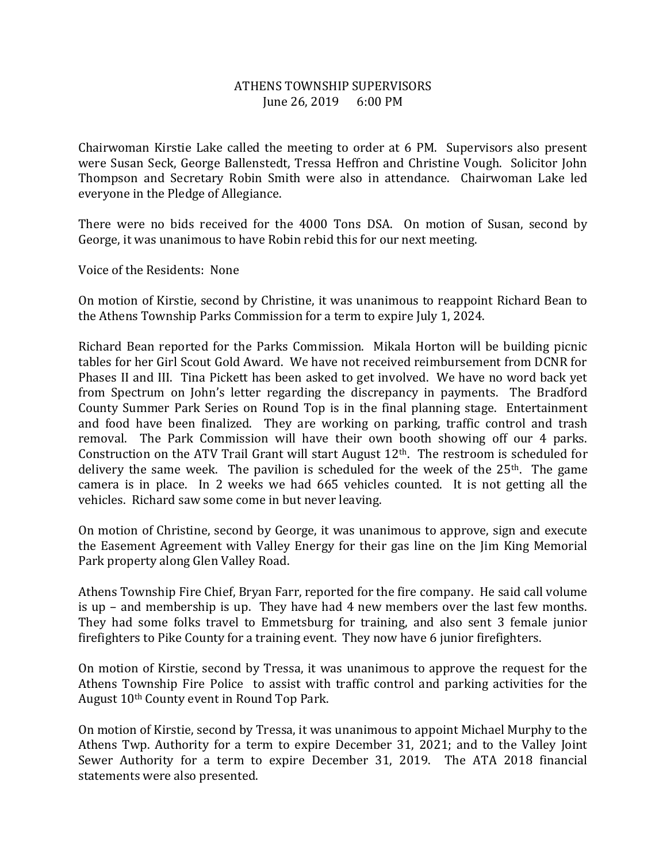## ATHENS TOWNSHIP SUPERVISORS June 26, 2019 6:00 PM

Chairwoman Kirstie Lake called the meeting to order at 6 PM. Supervisors also present were Susan Seck, George Ballenstedt, Tressa Heffron and Christine Vough. Solicitor John Thompson and Secretary Robin Smith were also in attendance. Chairwoman Lake led everyone in the Pledge of Allegiance.

There were no bids received for the 4000 Tons DSA. On motion of Susan, second by George, it was unanimous to have Robin rebid this for our next meeting.

Voice of the Residents: None

On motion of Kirstie, second by Christine, it was unanimous to reappoint Richard Bean to the Athens Township Parks Commission for a term to expire July 1, 2024.

Richard Bean reported for the Parks Commission. Mikala Horton will be building picnic tables for her Girl Scout Gold Award. We have not received reimbursement from DCNR for Phases II and III. Tina Pickett has been asked to get involved. We have no word back yet from Spectrum on John's letter regarding the discrepancy in payments. The Bradford County Summer Park Series on Round Top is in the final planning stage. Entertainment and food have been finalized. They are working on parking, traffic control and trash removal. The Park Commission will have their own booth showing off our 4 parks. Construction on the ATV Trail Grant will start August  $12<sup>th</sup>$ . The restroom is scheduled for delivery the same week. The pavilion is scheduled for the week of the  $25<sup>th</sup>$ . The game camera is in place. In 2 weeks we had 665 vehicles counted. It is not getting all the vehicles. Richard saw some come in but never leaving.

On motion of Christine, second by George, it was unanimous to approve, sign and execute the Easement Agreement with Valley Energy for their gas line on the Jim King Memorial Park property along Glen Valley Road.

Athens Township Fire Chief, Bryan Farr, reported for the fire company. He said call volume is up – and membership is up. They have had 4 new members over the last few months. They had some folks travel to Emmetsburg for training, and also sent 3 female junior firefighters to Pike County for a training event. They now have 6 junior firefighters.

On motion of Kirstie, second by Tressa, it was unanimous to approve the request for the Athens Township Fire Police to assist with traffic control and parking activities for the August 10th County event in Round Top Park.

On motion of Kirstie, second by Tressa, it was unanimous to appoint Michael Murphy to the Athens Twp. Authority for a term to expire December 31, 2021; and to the Valley Joint Sewer Authority for a term to expire December 31, 2019. The ATA 2018 financial statements were also presented.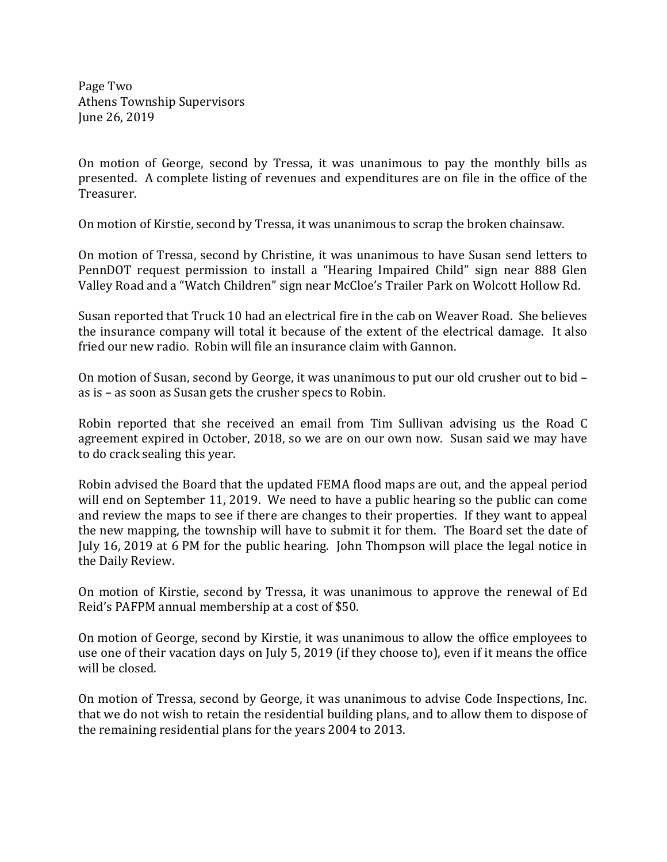Page Two Athens Township Supervisors June 26, 2019

On motion of George, second by Tressa, it was unanimous to pay the monthly bills as presented. A complete listing of revenues and expenditures are on file in the office of the Treasurer.

On motion of Kirstie, second by Tressa, it was unanimous to scrap the broken chainsaw.

On motion of Tressa, second by Christine, it was unanimous to have Susan send letters to PennDOT request permission to install a "Hearing Impaired Child" sign near 888 Glen Valley Road and a "Watch Children" sign near McCloe's Trailer Park on Wolcott Hollow Rd.

Susan reported that Truck 10 had an electrical fire in the cab on Weaver Road. She believes the insurance company will total it because of the extent of the electrical damage. It also fried our new radio. Robin will file an insurance claim with Gannon.

On motion of Susan, second by George, it was unanimous to put our old crusher out to bid – as is – as soon as Susan gets the crusher specs to Robin.

Robin reported that she received an email from Tim Sullivan advising us the Road C agreement expired in October, 2018, so we are on our own now. Susan said we may have to do crack sealing this year.

Robin advised the Board that the updated FEMA flood maps are out, and the appeal period will end on September 11, 2019. We need to have a public hearing so the public can come and review the maps to see if there are changes to their properties. If they want to appeal the new mapping, the township will have to submit it for them. The Board set the date of July 16, 2019 at 6 PM for the public hearing. John Thompson will place the legal notice in the Daily Review.

On motion of Kirstie, second by Tressa, it was unanimous to approve the renewal of Ed Reid's PAFPM annual membership at a cost of \$50.

On motion of George, second by Kirstie, it was unanimous to allow the office employees to use one of their vacation days on July 5, 2019 (if they choose to), even if it means the office will be closed.

On motion of Tressa, second by George, it was unanimous to advise Code Inspections, Inc. that we do not wish to retain the residential building plans, and to allow them to dispose of the remaining residential plans for the years 2004 to 2013.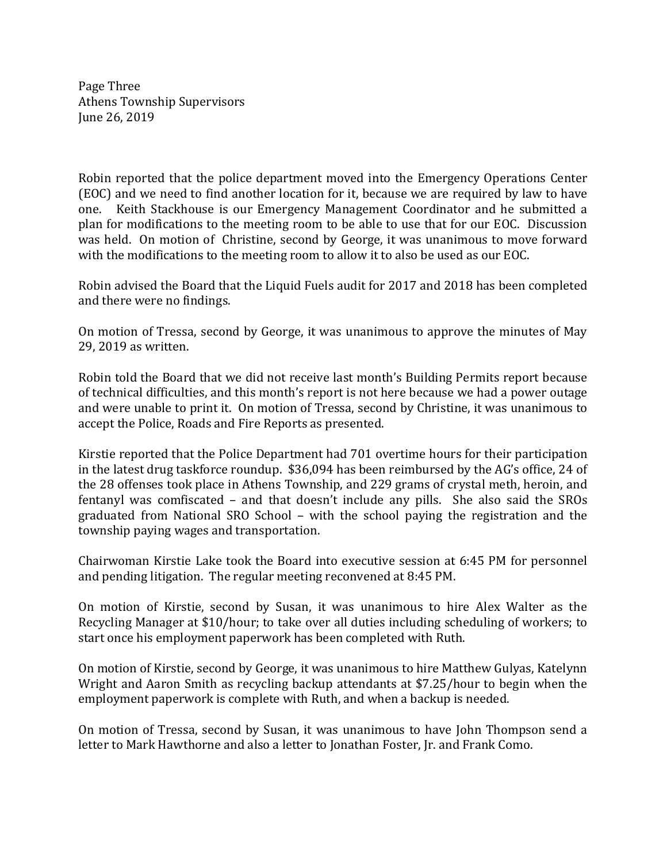Page Three Athens Township Supervisors June 26, 2019

Robin reported that the police department moved into the Emergency Operations Center (EOC) and we need to find another location for it, because we are required by law to have one. Keith Stackhouse is our Emergency Management Coordinator and he submitted a plan for modifications to the meeting room to be able to use that for our EOC. Discussion was held. On motion of Christine, second by George, it was unanimous to move forward with the modifications to the meeting room to allow it to also be used as our EOC.

Robin advised the Board that the Liquid Fuels audit for 2017 and 2018 has been completed and there were no findings.

On motion of Tressa, second by George, it was unanimous to approve the minutes of May 29, 2019 as written.

Robin told the Board that we did not receive last month's Building Permits report because of technical difficulties, and this month's report is not here because we had a power outage and were unable to print it. On motion of Tressa, second by Christine, it was unanimous to accept the Police, Roads and Fire Reports as presented.

Kirstie reported that the Police Department had 701 overtime hours for their participation in the latest drug taskforce roundup. \$36,094 has been reimbursed by the AG's office, 24 of the 28 offenses took place in Athens Township, and 229 grams of crystal meth, heroin, and fentanyl was comfiscated – and that doesn't include any pills. She also said the SROs graduated from National SRO School – with the school paying the registration and the township paying wages and transportation.

Chairwoman Kirstie Lake took the Board into executive session at 6:45 PM for personnel and pending litigation. The regular meeting reconvened at 8:45 PM.

On motion of Kirstie, second by Susan, it was unanimous to hire Alex Walter as the Recycling Manager at \$10/hour; to take over all duties including scheduling of workers; to start once his employment paperwork has been completed with Ruth.

On motion of Kirstie, second by George, it was unanimous to hire Matthew Gulyas, Katelynn Wright and Aaron Smith as recycling backup attendants at \$7.25/hour to begin when the employment paperwork is complete with Ruth, and when a backup is needed.

On motion of Tressa, second by Susan, it was unanimous to have John Thompson send a letter to Mark Hawthorne and also a letter to Jonathan Foster, Jr. and Frank Como.